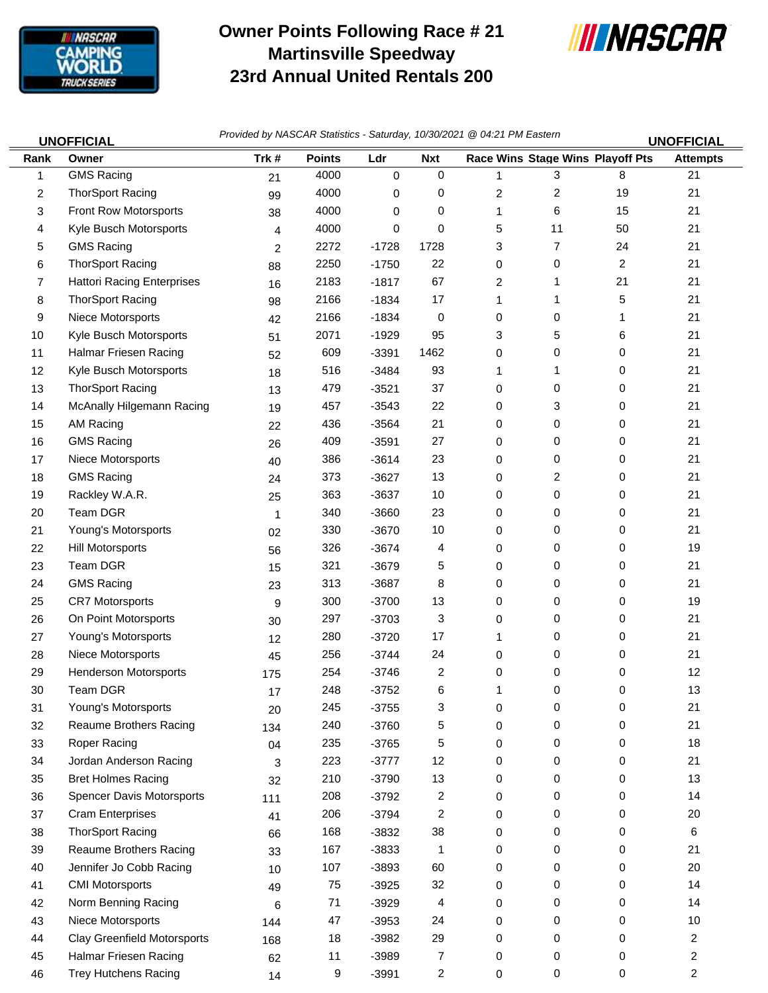

## **Owner Points Following Race # 21 Martinsville Speedway 23rd Annual United Rentals 200**



46 Trey Hutchens Racing 2 14 9 -3991 2 0 0 0 2